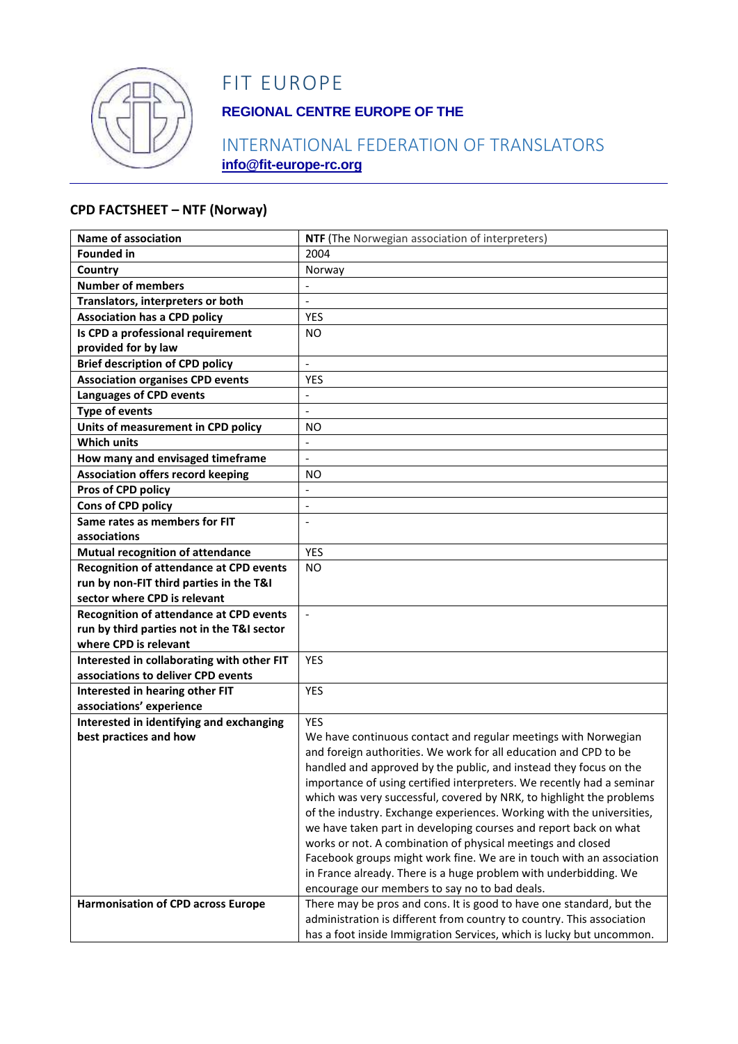

## FIT EUROPE

### **REGIONAL CENTRE EUROPE OF THE**

### INTERNATIONAL FEDERATION OF TRANSLATORS **info@fit-europe-rc.org**

#### **CPD FACTSHEET – NTF (Norway)**

| <b>Name of association</b>                     | NTF (The Norwegian association of interpreters)                                                                                               |
|------------------------------------------------|-----------------------------------------------------------------------------------------------------------------------------------------------|
| <b>Founded in</b>                              | 2004                                                                                                                                          |
| Country                                        | Norway                                                                                                                                        |
| <b>Number of members</b>                       |                                                                                                                                               |
| Translators, interpreters or both              | $\overline{\phantom{a}}$                                                                                                                      |
| <b>Association has a CPD policy</b>            | YES                                                                                                                                           |
| Is CPD a professional requirement              | NO                                                                                                                                            |
| provided for by law                            |                                                                                                                                               |
| <b>Brief description of CPD policy</b>         | $\overline{a}$                                                                                                                                |
| <b>Association organises CPD events</b>        | <b>YES</b>                                                                                                                                    |
| <b>Languages of CPD events</b>                 | $\overline{\phantom{a}}$                                                                                                                      |
| <b>Type of events</b>                          | $\overline{\phantom{a}}$                                                                                                                      |
| Units of measurement in CPD policy             | ΝO                                                                                                                                            |
| <b>Which units</b>                             | $\blacksquare$                                                                                                                                |
| How many and envisaged timeframe               | $\Box$                                                                                                                                        |
| <b>Association offers record keeping</b>       | ΝO                                                                                                                                            |
| Pros of CPD policy                             | $\overline{a}$                                                                                                                                |
| Cons of CPD policy                             | $\overline{\phantom{a}}$                                                                                                                      |
| Same rates as members for FIT                  |                                                                                                                                               |
| associations                                   |                                                                                                                                               |
| Mutual recognition of attendance               | <b>YES</b>                                                                                                                                    |
| <b>Recognition of attendance at CPD events</b> | <b>NO</b>                                                                                                                                     |
| run by non-FIT third parties in the T&I        |                                                                                                                                               |
| sector where CPD is relevant                   |                                                                                                                                               |
| <b>Recognition of attendance at CPD events</b> | $\blacksquare$                                                                                                                                |
| run by third parties not in the T&I sector     |                                                                                                                                               |
| where CPD is relevant                          |                                                                                                                                               |
| Interested in collaborating with other FIT     | <b>YES</b>                                                                                                                                    |
| associations to deliver CPD events             |                                                                                                                                               |
| Interested in hearing other FIT                | <b>YES</b>                                                                                                                                    |
| associations' experience                       |                                                                                                                                               |
| Interested in identifying and exchanging       | <b>YES</b>                                                                                                                                    |
| best practices and how                         | We have continuous contact and regular meetings with Norwegian                                                                                |
|                                                | and foreign authorities. We work for all education and CPD to be                                                                              |
|                                                | handled and approved by the public, and instead they focus on the                                                                             |
|                                                | importance of using certified interpreters. We recently had a seminar                                                                         |
|                                                | which was very successful, covered by NRK, to highlight the problems                                                                          |
|                                                | of the industry. Exchange experiences. Working with the universities,                                                                         |
|                                                | we have taken part in developing courses and report back on what                                                                              |
|                                                | works or not. A combination of physical meetings and closed                                                                                   |
|                                                | Facebook groups might work fine. We are in touch with an association                                                                          |
|                                                | in France already. There is a huge problem with underbidding. We                                                                              |
|                                                | encourage our members to say no to bad deals.                                                                                                 |
| <b>Harmonisation of CPD across Europe</b>      | There may be pros and cons. It is good to have one standard, but the<br>administration is different from country to country. This association |
|                                                |                                                                                                                                               |
|                                                | has a foot inside Immigration Services, which is lucky but uncommon.                                                                          |